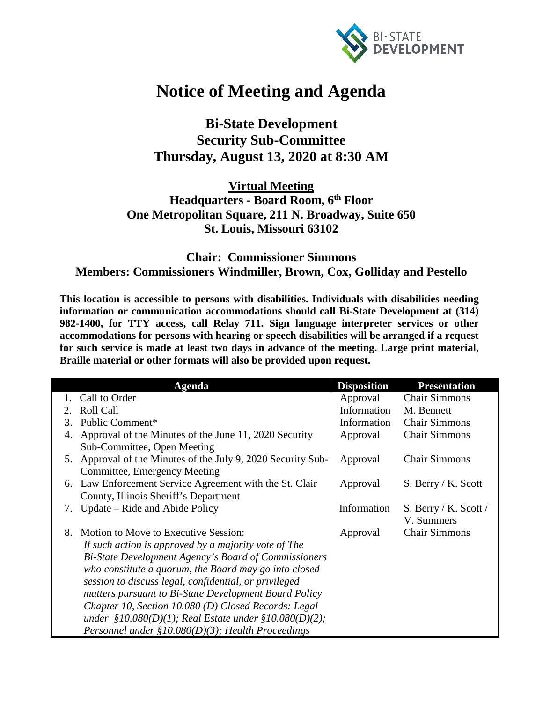

## **Notice of Meeting and Agenda**

**Bi-State Development Security Sub-Committee Thursday, August 13, 2020 at 8:30 AM**

**Virtual Meeting Headquarters - Board Room, 6th Floor One Metropolitan Square, 211 N. Broadway, Suite 650 St. Louis, Missouri 63102**

## **Chair: Commissioner Simmons Members: Commissioners Windmiller, Brown, Cox, Golliday and Pestello**

**This location is accessible to persons with disabilities. Individuals with disabilities needing information or communication accommodations should call Bi-State Development at (314) 982-1400, for TTY access, call Relay 711. Sign language interpreter services or other accommodations for persons with hearing or speech disabilities will be arranged if a request for such service is made at least two days in advance of the meeting. Large print material, Braille material or other formats will also be provided upon request.**

|             | Agenda                                                       | <b>Disposition</b> | <b>Presentation</b>   |
|-------------|--------------------------------------------------------------|--------------------|-----------------------|
|             | Call to Order                                                | Approval           | <b>Chair Simmons</b>  |
| $2^{\circ}$ | <b>Roll Call</b>                                             | Information        | M. Bennett            |
| 3.          | Public Comment*                                              | Information        | <b>Chair Simmons</b>  |
| 4.          | Approval of the Minutes of the June 11, 2020 Security        | Approval           | <b>Chair Simmons</b>  |
|             | Sub-Committee, Open Meeting                                  |                    |                       |
|             | 5. Approval of the Minutes of the July 9, 2020 Security Sub- | Approval           | <b>Chair Simmons</b>  |
|             | Committee, Emergency Meeting                                 |                    |                       |
| 6.          | Law Enforcement Service Agreement with the St. Clair         | Approval           | S. Berry / K. Scott   |
|             | County, Illinois Sheriff's Department                        |                    |                       |
| 7.          | Update – Ride and Abide Policy                               | Information        | S. Berry / K. Scott / |
|             |                                                              |                    | V. Summers            |
| 8.          | Motion to Move to Executive Session:                         | Approval           | <b>Chair Simmons</b>  |
|             | If such action is approved by a majority vote of The         |                    |                       |
|             | Bi-State Development Agency's Board of Commissioners         |                    |                       |
|             | who constitute a quorum, the Board may go into closed        |                    |                       |
|             | session to discuss legal, confidential, or privileged        |                    |                       |
|             | matters pursuant to Bi-State Development Board Policy        |                    |                       |
|             | Chapter 10, Section 10.080 (D) Closed Records: Legal         |                    |                       |
|             | under $$10.080(D)(1)$ ; Real Estate under $$10.080(D)(2)$ ;  |                    |                       |
|             | Personnel under $$10.080(D)(3)$ ; Health Proceedings         |                    |                       |